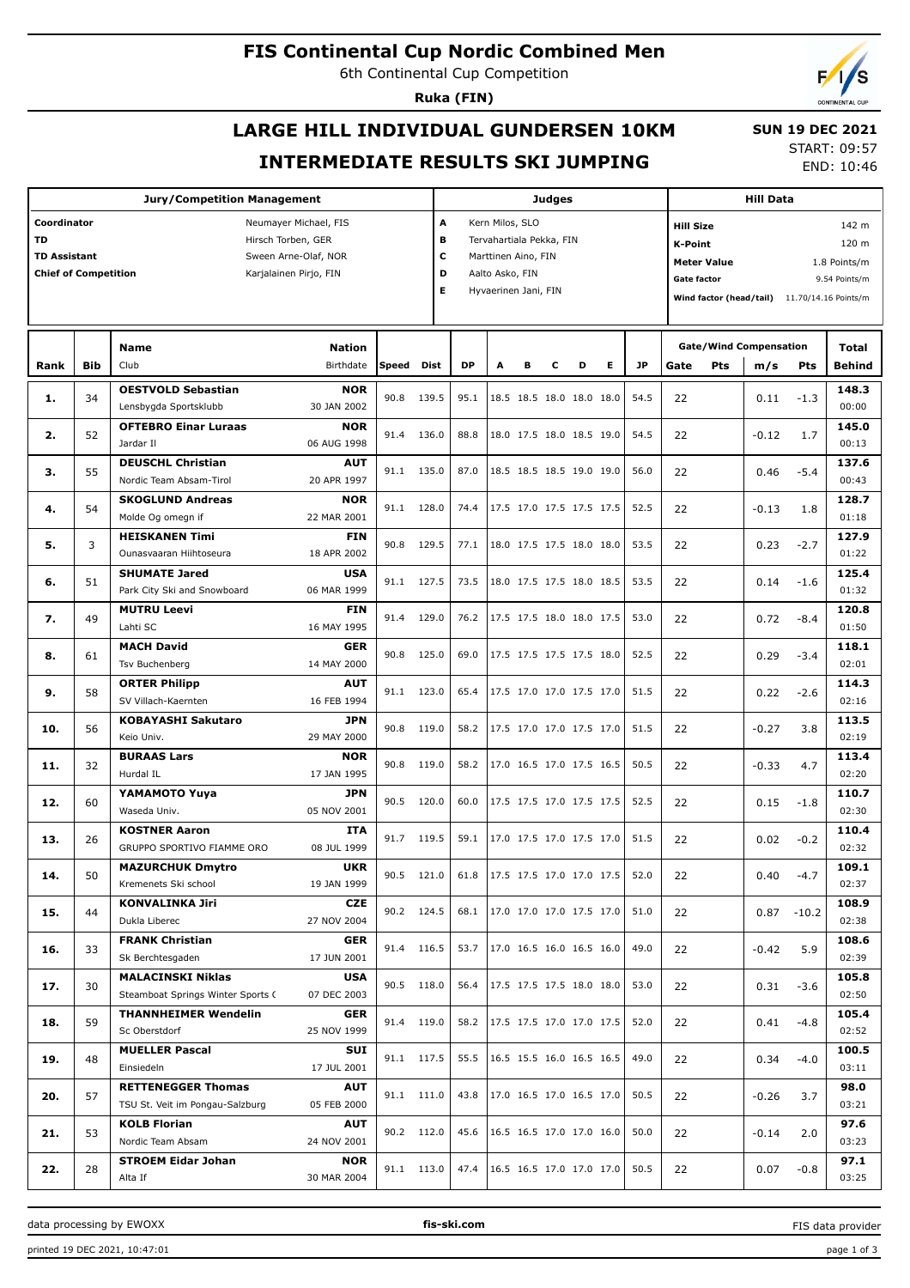# **FIS Continental Cup Nordic Combined Men**

6th Continental Cup Competition

**Ruka (FIN)**

# **LARGE HILL INDIVIDUAL GUNDERSEN 10KM INTERMEDIATE RESULTS SKI JUMPING**

 **SUN 19 DEC 2021** START: 09:57

END: 10:46

| <b>Jury/Competition Management</b>                                            |     |                                                                                                                         |                           |       |            |                           | <b>Judges</b>                                             |   |   |                               |   |                |      | <b>Hill Data</b> |                               |                                              |                               |  |
|-------------------------------------------------------------------------------|-----|-------------------------------------------------------------------------------------------------------------------------|---------------------------|-------|------------|---------------------------|-----------------------------------------------------------|---|---|-------------------------------|---|----------------|------|------------------|-------------------------------|----------------------------------------------|-------------------------------|--|
| Coordinator<br>TD<br><b>TD Assistant</b>                                      |     | A<br>Kern Milos, SLO<br><b>Hill Size</b><br>B<br>Tervahartiala Pekka, FIN<br><b>K-Point</b><br>c<br>Marttinen Aino, FIN |                           |       |            |                           |                                                           |   |   |                               |   | 142 m<br>120 m |      |                  |                               |                                              |                               |  |
| Sween Arne-Olaf, NOR<br><b>Chief of Competition</b><br>Karjalainen Pirjo, FIN |     |                                                                                                                         |                           |       |            |                           | <b>Meter Value</b><br>D<br>Aalto Asko, FIN<br>Gate factor |   |   |                               |   |                |      |                  |                               |                                              | 1.8 Points/m<br>9.54 Points/m |  |
|                                                                               |     |                                                                                                                         |                           |       |            | Е<br>Hyvaerinen Jani, FIN |                                                           |   |   |                               |   |                |      |                  |                               | Wind factor (head/tail) 11.70/14.16 Points/m |                               |  |
|                                                                               |     |                                                                                                                         |                           |       |            |                           |                                                           |   |   |                               |   |                |      |                  |                               |                                              |                               |  |
|                                                                               |     |                                                                                                                         |                           |       |            |                           |                                                           |   |   |                               |   |                |      |                  |                               |                                              |                               |  |
|                                                                               |     | Name                                                                                                                    | <b>Nation</b>             |       |            |                           |                                                           |   |   |                               |   |                |      |                  | <b>Gate/Wind Compensation</b> |                                              | Total                         |  |
| Rank                                                                          | Bib | Club                                                                                                                    | Birthdate                 | Speed | Dist       | <b>DP</b>                 | A                                                         | в | с | D                             | E | <b>JP</b>      | Gate | <b>Pts</b>       | m/s                           | Pts                                          | Behind                        |  |
|                                                                               | 34  | <b>OESTVOLD Sebastian</b>                                                                                               | <b>NOR</b>                | 90.8  | 139.5      | 95.1                      |                                                           |   |   | 18.5 18.5 18.0 18.0 18.0      |   | 54.5           | 22   |                  |                               |                                              | 148.3                         |  |
| 1.                                                                            |     | Lensbygda Sportsklubb                                                                                                   | 30 JAN 2002               |       |            |                           |                                                           |   |   |                               |   |                |      |                  | 0.11                          | $-1.3$                                       | 00:00                         |  |
| 2.                                                                            | 52  | <b>OFTEBRO Einar Luraas</b>                                                                                             | <b>NOR</b>                | 91.4  | 136.0      | 88.8                      |                                                           |   |   | 18.0 17.5 18.0 18.5 19.0      |   | 54.5           | 22   |                  | $-0.12$                       | 1.7                                          | 145.0                         |  |
|                                                                               |     | Jardar II                                                                                                               | 06 AUG 1998               |       |            |                           |                                                           |   |   |                               |   |                |      |                  |                               |                                              | 00:13                         |  |
| з.                                                                            | 55  | <b>DEUSCHL Christian</b>                                                                                                | <b>AUT</b>                | 91.1  | 135.0      | 87.0                      |                                                           |   |   | 18.5 18.5 18.5 19.0 19.0      |   | 56.0           | 22   |                  | 0.46                          | $-5.4$                                       | 137.6                         |  |
|                                                                               |     | Nordic Team Absam-Tirol                                                                                                 | 20 APR 1997               |       |            |                           |                                                           |   |   |                               |   |                |      |                  |                               |                                              | 00:43                         |  |
| 4.                                                                            | 54  | <b>SKOGLUND Andreas</b><br>Molde Og omegn if                                                                            | <b>NOR</b><br>22 MAR 2001 | 91.1  | 128.0      | 74.4                      |                                                           |   |   | 17.5 17.0 17.5 17.5 17.5      |   | 52.5           | 22   |                  | $-0.13$                       | 1.8                                          | 128.7<br>01:18                |  |
|                                                                               |     | <b>HEISKANEN Timi</b>                                                                                                   | FIN                       |       |            |                           |                                                           |   |   |                               |   |                |      |                  |                               |                                              | 127.9                         |  |
| 5.                                                                            | 3   | Ounasyaaran Hiihtoseura                                                                                                 | 18 APR 2002               | 90.8  | 129.5      | 77.1                      |                                                           |   |   | 18.0 17.5 17.5 18.0 18.0      |   | 53.5           | 22   |                  | 0.23                          | $-2.7$                                       | 01:22                         |  |
|                                                                               |     | <b>SHUMATE Jared</b>                                                                                                    | <b>USA</b>                |       |            |                           |                                                           |   |   |                               |   |                |      |                  |                               |                                              | 125.4                         |  |
| 6.                                                                            | 51  | Park City Ski and Snowboard                                                                                             | 06 MAR 1999               | 91.1  | 127.5      | 73.5                      |                                                           |   |   | 18.0 17.5 17.5 18.0 18.5      |   | 53.5           | 22   |                  | 0.14                          | $-1.6$                                       | 01:32                         |  |
|                                                                               |     | <b>MUTRU Leevi</b>                                                                                                      | FIN                       |       |            |                           |                                                           |   |   |                               |   |                |      |                  |                               |                                              | 120.8                         |  |
| 7.                                                                            | 49  | Lahti SC                                                                                                                | 16 MAY 1995               | 91.4  | 129.0      | 76.2                      |                                                           |   |   | 17.5 17.5 18.0 18.0 17.5      |   | 53.0           | 22   |                  | 0.72                          | $-8.4$                                       | 01:50                         |  |
| 8.                                                                            | 61  | <b>MACH David</b>                                                                                                       | GER                       | 90.8  | 125.0      | 69.0                      |                                                           |   |   | 17.5 17.5 17.5 17.5 18.0      |   | 52.5           | 22   |                  | 0.29                          | $-3.4$                                       | 118.1                         |  |
|                                                                               |     | Tsv Buchenberg                                                                                                          | 14 MAY 2000               |       |            |                           |                                                           |   |   |                               |   |                |      |                  |                               |                                              | 02:01                         |  |
| 9.                                                                            | 58  | <b>ORTER Philipp</b>                                                                                                    | <b>AUT</b>                | 91.1  | 123.0      | 65.4                      |                                                           |   |   | 17.5 17.0 17.0 17.5 17.0      |   | 51.5           | 22   |                  | 0.22                          | $-2.6$                                       | 114.3                         |  |
|                                                                               |     | SV Villach-Kaernten                                                                                                     | 16 FEB 1994               |       |            |                           |                                                           |   |   |                               |   |                |      |                  |                               |                                              | 02:16                         |  |
| 10.                                                                           | 56  | <b>KOBAYASHI Sakutaro</b>                                                                                               | <b>JPN</b>                | 90.8  | 119.0      | 58.2                      |                                                           |   |   | 17.5 17.0 17.0 17.5 17.0      |   | 51.5           | 22   |                  | $-0.27$                       | 3.8                                          | 113.5                         |  |
|                                                                               |     | Keio Univ.                                                                                                              | 29 MAY 2000               |       |            |                           |                                                           |   |   |                               |   |                |      |                  |                               |                                              | 02:19                         |  |
| 11.                                                                           | 32  | <b>BURAAS Lars</b><br>Hurdal IL                                                                                         | <b>NOR</b><br>17 JAN 1995 | 90.8  | 119.0      | 58.2                      |                                                           |   |   | 17.0 16.5 17.0 17.5 16.5      |   | 50.5           | 22   |                  | $-0.33$                       | 4.7                                          | 113.4<br>02:20                |  |
|                                                                               |     | YAMAMOTO Yuya                                                                                                           | <b>JPN</b>                |       |            |                           |                                                           |   |   |                               |   |                |      |                  |                               |                                              | 110.7                         |  |
| 12.                                                                           | 60  | Waseda Univ.                                                                                                            | 05 NOV 2001               | 90.5  | 120.0      | 60.0                      |                                                           |   |   | 17.5 17.5 17.0 17.5 17.5      |   | 52.5           | 22   |                  | 0.15                          | $-1.8$                                       | 02:30                         |  |
|                                                                               |     | <b>KOSTNER Aaron</b>                                                                                                    | ITA                       |       |            |                           |                                                           |   |   |                               |   |                |      |                  |                               |                                              | 110.4                         |  |
| 13.                                                                           | 26  | GRUPPO SPORTIVO FIAMME ORO                                                                                              | 08 JUL 1999               |       | 91.7 119.5 | 59.1                      |                                                           |   |   | 17.0 17.5 17.0 17.5 17.0      |   | 51.5           | 22   |                  | 0.02                          | $-0.2$                                       | 02:32                         |  |
|                                                                               |     | <b>MAZURCHUK Dmytro</b>                                                                                                 | <b>UKR</b>                |       | 90.5 121.0 |                           |                                                           |   |   | 61.8 17.5 17.5 17.0 17.0 17.5 |   | 52.0           |      |                  |                               |                                              | 109.1                         |  |
| 14.                                                                           | 50  | Kremenets Ski school                                                                                                    | 19 JAN 1999               |       |            |                           |                                                           |   |   |                               |   |                | 22   |                  |                               | $0.40 -4.7$                                  | 02:37                         |  |
| 15.                                                                           | 44  | <b>KONVALINKA Jiri</b>                                                                                                  | CZE                       |       | 90.2 124.5 | 68.1                      |                                                           |   |   | 17.0 17.0 17.0 17.5 17.0      |   | 51.0           | 22   |                  |                               | $0.87 - 10.2$                                | 108.9                         |  |
|                                                                               |     | Dukla Liberec                                                                                                           | 27 NOV 2004               |       |            |                           |                                                           |   |   |                               |   |                |      |                  |                               |                                              | 02:38                         |  |
| 16.                                                                           | 33  | <b>FRANK Christian</b>                                                                                                  | <b>GER</b>                |       | 91.4 116.5 | 53.7                      |                                                           |   |   | 17.0 16.5 16.0 16.5 16.0      |   | 49.0           | 22   |                  | $-0.42$                       | 5.9                                          | 108.6                         |  |
|                                                                               |     | Sk Berchtesgaden                                                                                                        | 17 JUN 2001               |       |            |                           |                                                           |   |   |                               |   |                |      |                  |                               |                                              | 02:39                         |  |
| 17.                                                                           | 30  | <b>MALACINSKI Niklas</b>                                                                                                | <b>USA</b><br>07 DEC 2003 |       | 90.5 118.0 | 56.4                      |                                                           |   |   | 17.5 17.5 17.5 18.0 18.0      |   | 53.0           | 22   |                  | 0.31                          | $-3.6$                                       | 105.8<br>02:50                |  |
|                                                                               |     | Steamboat Springs Winter Sports C                                                                                       |                           |       |            |                           |                                                           |   |   |                               |   |                |      |                  |                               |                                              |                               |  |
| 18.                                                                           | 59  | <b>THANNHEIMER Wendelin</b><br>Sc Oberstdorf                                                                            | <b>GER</b><br>25 NOV 1999 |       | 91.4 119.0 | 58.2                      |                                                           |   |   | 17.5 17.5 17.0 17.0 17.5      |   | 52.0           | 22   |                  | 0.41                          | $-4.8$                                       | 105.4<br>02:52                |  |
|                                                                               |     | <b>MUELLER Pascal</b>                                                                                                   | SUI                       |       |            |                           |                                                           |   |   |                               |   |                |      |                  |                               |                                              | 100.5                         |  |
| 19.                                                                           | 48  | Einsiedeln                                                                                                              | 17 JUL 2001               |       | 91.1 117.5 | 55.5                      |                                                           |   |   | 16.5 15.5 16.0 16.5 16.5      |   | 49.0           | 22   |                  | 0.34                          | $-4.0$                                       | 03:11                         |  |
|                                                                               |     | <b>RETTENEGGER Thomas</b>                                                                                               | <b>AUT</b>                |       |            |                           |                                                           |   |   |                               |   |                |      |                  |                               |                                              | 98.0                          |  |
| 20.                                                                           | 57  | TSU St. Veit im Pongau-Salzburg                                                                                         | 05 FEB 2000               |       | 91.1 111.0 | 43.8                      |                                                           |   |   | 17.0 16.5 17.0 16.5 17.0      |   | 50.5           | 22   |                  | $-0.26$                       | 3.7                                          | 03:21                         |  |
|                                                                               |     | <b>KOLB Florian</b>                                                                                                     | AUT                       |       | 90.2 112.0 | 45.6                      |                                                           |   |   | 16.5 16.5 17.0 17.0 16.0      |   | 50.0           |      |                  |                               |                                              | 97.6                          |  |
| 21.                                                                           | 53  | Nordic Team Absam                                                                                                       | 24 NOV 2001               |       |            |                           |                                                           |   |   |                               |   |                | 22   |                  | $-0.14$                       | 2.0                                          | 03:23                         |  |
| 22.                                                                           | 28  | <b>STROEM Eidar Johan</b>                                                                                               | <b>NOR</b>                |       | 91.1 113.0 | 47.4                      |                                                           |   |   | 16.5 16.5 17.0 17.0 17.0      |   | 50.5           | 22   |                  | 0.07                          | $-0.8$                                       | 97.1                          |  |
|                                                                               |     | Alta If                                                                                                                 | 30 MAR 2004               |       |            |                           |                                                           |   |   |                               |   |                |      |                  |                               |                                              | 03:25                         |  |

data processing by EWOXX **fis-ski.com**

FIS data provider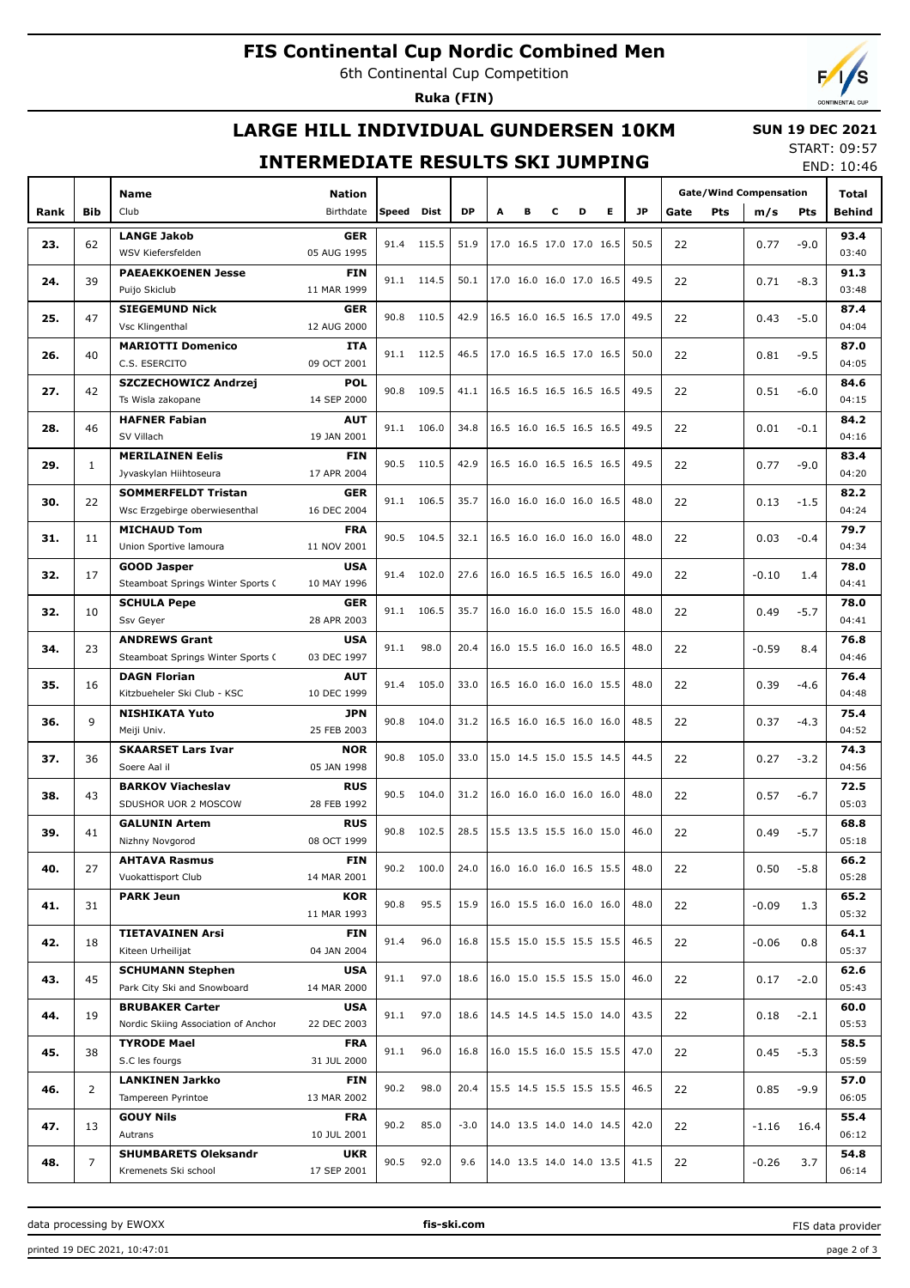# **FIS Continental Cup Nordic Combined Men**

6th Continental Cup Competition

**Ruka (FIN)**

# **LARGE HILL INDIVIDUAL GUNDERSEN 10KM**

### **SUN 19 DEC 2021** START: 09:57

## **INTERMEDIATE RESULTS SKI JUMPING**

END: 10:46

|      |                | <b>Name</b>                         |             |       |            |           |   |                          |   |   |   | <b>Gate/Wind Compensation</b> |             |         | Total  |        |
|------|----------------|-------------------------------------|-------------|-------|------------|-----------|---|--------------------------|---|---|---|-------------------------------|-------------|---------|--------|--------|
| Rank | <b>Bib</b>     | Club                                | Birthdate   | Speed | Dist       | <b>DP</b> | A | в                        | c | D | Е | <b>JP</b>                     | Gate<br>Pts | m/s     | Pts    | Behind |
|      |                | <b>LANGE Jakob</b>                  | <b>GER</b>  |       |            |           |   |                          |   |   |   |                               |             |         |        | 93.4   |
| 23.  | 62             | WSV Kiefersfelden                   | 05 AUG 1995 | 91.4  | 115.5      | 51.9      |   | 17.0 16.5 17.0 17.0 16.5 |   |   |   | 50.5                          | 22          | 0.77    | $-9.0$ | 03:40  |
|      |                | <b>PAEAEKKOENEN Jesse</b>           | <b>FIN</b>  |       |            |           |   |                          |   |   |   |                               |             |         |        | 91.3   |
| 24.  | 39             | Puijo Skiclub                       | 11 MAR 1999 |       | 91.1 114.5 | 50.1      |   | 17.0 16.0 16.0 17.0 16.5 |   |   |   | 49.5                          | 22          | 0.71    | $-8.3$ | 03:48  |
|      |                | <b>SIEGEMUND Nick</b>               | <b>GER</b>  |       |            |           |   |                          |   |   |   |                               |             |         |        | 87.4   |
| 25.  | 47             | Vsc Klingenthal                     | 12 AUG 2000 | 90.8  | 110.5      | 42.9      |   | 16.5 16.0 16.5 16.5 17.0 |   |   |   | 49.5                          | 22          | 0.43    | $-5.0$ | 04:04  |
|      |                | <b>MARIOTTI Domenico</b>            | <b>ITA</b>  |       |            |           |   |                          |   |   |   |                               |             |         |        | 87.0   |
| 26.  | 40             | C.S. ESERCITO                       | 09 OCT 2001 |       | 91.1 112.5 | 46.5      |   | 17.0 16.5 16.5 17.0 16.5 |   |   |   | 50.0                          | 22          | 0.81    | $-9.5$ | 04:05  |
|      |                | <b>SZCZECHOWICZ Andrzej</b>         | <b>POL</b>  |       |            |           |   |                          |   |   |   |                               |             |         |        | 84.6   |
| 27.  | 42             | Ts Wisla zakopane                   | 14 SEP 2000 | 90.8  | 109.5      | 41.1      |   | 16.5 16.5 16.5 16.5 16.5 |   |   |   | 49.5                          | 22          | 0.51    | $-6.0$ | 04:15  |
|      |                | <b>HAFNER Fabian</b>                | AUT         |       |            |           |   |                          |   |   |   |                               |             |         |        | 84.2   |
| 28.  | 46             | SV Villach                          | 19 JAN 2001 | 91.1  | 106.0      | 34.8      |   | 16.5 16.0 16.5 16.5 16.5 |   |   |   | 49.5                          | 22          | 0.01    | $-0.1$ | 04:16  |
|      |                | <b>MERILAINEN Eelis</b>             | <b>FIN</b>  |       |            |           |   |                          |   |   |   |                               |             |         |        | 83.4   |
| 29.  | $\mathbf{1}$   | Jyvaskylan Hiihtoseura              | 17 APR 2004 | 90.5  | 110.5      | 42.9      |   | 16.5 16.0 16.5 16.5 16.5 |   |   |   | 49.5                          | 22          | 0.77    | $-9.0$ | 04:20  |
|      |                | <b>SOMMERFELDT Tristan</b>          | <b>GER</b>  |       |            |           |   |                          |   |   |   |                               |             |         |        | 82.2   |
| 30.  | 22             | Wsc Erzgebirge oberwiesenthal       | 16 DEC 2004 | 91.1  | 106.5      | 35.7      |   | 16.0 16.0 16.0 16.0 16.5 |   |   |   | 48.0                          | 22          | 0.13    | $-1.5$ | 04:24  |
|      |                | <b>MICHAUD Tom</b>                  | <b>FRA</b>  |       |            |           |   |                          |   |   |   |                               |             |         |        | 79.7   |
| 31.  | 11             | Union Sportive lamoura              | 11 NOV 2001 | 90.5  | 104.5      | 32.1      |   | 16.5 16.0 16.0 16.0 16.0 |   |   |   | 48.0                          | 22          | 0.03    | $-0.4$ | 04:34  |
|      |                | <b>GOOD Jasper</b>                  | <b>USA</b>  |       |            |           |   |                          |   |   |   |                               |             |         |        | 78.0   |
| 32.  | 17             | Steamboat Springs Winter Sports C   | 10 MAY 1996 | 91.4  | 102.0      | 27.6      |   | 16.0 16.5 16.5 16.5 16.0 |   |   |   | 49.0                          | 22          | $-0.10$ | 1.4    | 04:41  |
|      |                | <b>SCHULA Pepe</b>                  | <b>GER</b>  |       |            |           |   |                          |   |   |   |                               |             |         |        | 78.0   |
| 32.  | 10             | Ssv Geyer                           | 28 APR 2003 | 91.1  | 106.5      | 35.7      |   | 16.0 16.0 16.0 15.5 16.0 |   |   |   | 48.0                          | 22          | 0.49    | $-5.7$ | 04:41  |
|      |                | <b>ANDREWS Grant</b>                | <b>USA</b>  |       |            |           |   |                          |   |   |   |                               |             |         |        | 76.8   |
| 34.  | 23             | Steamboat Springs Winter Sports C   | 03 DEC 1997 | 91.1  | 98.0       | 20.4      |   | 16.0 15.5 16.0 16.0 16.5 |   |   |   | 48.0                          | 22          | $-0.59$ | 8.4    | 04:46  |
|      |                | <b>DAGN Florian</b>                 | <b>AUT</b>  |       |            |           |   |                          |   |   |   |                               |             |         |        | 76.4   |
| 35.  | 16             | Kitzbueheler Ski Club - KSC         | 10 DEC 1999 | 91.4  | 105.0      | 33.0      |   | 16.5 16.0 16.0 16.0 15.5 |   |   |   | 48.0                          | 22          | 0.39    | $-4.6$ | 04:48  |
|      |                | <b>NISHIKATA Yuto</b>               | JPN         |       |            |           |   |                          |   |   |   |                               |             |         |        | 75.4   |
| 36.  | 9              | Meiji Univ.                         | 25 FEB 2003 | 90.8  | 104.0      | 31.2      |   | 16.5 16.0 16.5 16.0 16.0 |   |   |   | 48.5                          | 22          | 0.37    | $-4.3$ | 04:52  |
|      |                | <b>SKAARSET Lars Ivar</b>           | <b>NOR</b>  |       |            |           |   |                          |   |   |   |                               |             |         |        | 74.3   |
| 37.  | 36             | Soere Aal il                        | 05 JAN 1998 | 90.8  | 105.0      | 33.0      |   | 15.0 14.5 15.0 15.5 14.5 |   |   |   | 44.5                          | 22          | 0.27    | $-3.2$ | 04:56  |
|      |                | <b>BARKOV Viacheslav</b>            | <b>RUS</b>  |       |            |           |   |                          |   |   |   |                               |             |         |        | 72.5   |
| 38.  | 43             | SDUSHOR UOR 2 MOSCOW                | 28 FEB 1992 | 90.5  | 104.0      | 31.2      |   | 16.0 16.0 16.0 16.0 16.0 |   |   |   | 48.0                          | 22          | 0.57    | $-6.7$ | 05:03  |
|      |                | <b>GALUNIN Artem</b>                | <b>RUS</b>  |       |            |           |   |                          |   |   |   |                               |             |         |        | 68.8   |
| 39.  | 41             | Nizhny Novgorod                     | 08 OCT 1999 | 90.8  | 102.5      | 28.5      |   | 15.5 13.5 15.5 16.0 15.0 |   |   |   | 46.0                          | 22          | 0.49    | $-5.7$ | 05:18  |
|      |                | <b>AHTAVA Rasmus</b>                | <b>FIN</b>  |       |            |           |   |                          |   |   |   |                               |             |         |        | 66.2   |
| 40.  | 27             | Vuokattisport Club                  | 14 MAR 2001 |       | 90.2 100.0 | 24.0      |   | 16.0 16.0 16.0 16.5 15.5 |   |   |   | 48.0                          | 22          | 0.50    | $-5.8$ | 05:28  |
|      |                | <b>PARK Jeun</b>                    | KOR         |       |            |           |   |                          |   |   |   |                               |             |         |        | 65.2   |
| 41.  | 31             |                                     | 11 MAR 1993 | 90.8  | 95.5       | 15.9      |   | 16.0 15.5 16.0 16.0 16.0 |   |   |   | 48.0                          | 22          | $-0.09$ | 1.3    | 05:32  |
|      |                | <b>TIETAVAINEN Arsi</b>             | FIN         |       | 96.0       |           |   |                          |   |   |   | 46.5                          |             |         |        | 64.1   |
| 42.  | 18             | Kiteen Urheilijat                   | 04 JAN 2004 | 91.4  |            | 16.8      |   | 15.5 15.0 15.5 15.5 15.5 |   |   |   |                               | 22          | $-0.06$ | 0.8    | 05:37  |
|      |                | <b>SCHUMANN Stephen</b>             | <b>USA</b>  |       | 97.0       |           |   | 16.0 15.0 15.5 15.5 15.0 |   |   |   | 46.0                          |             |         |        | 62.6   |
| 43.  | 45             | Park City Ski and Snowboard         | 14 MAR 2000 | 91.1  |            | 18.6      |   |                          |   |   |   |                               | 22          | 0.17    | $-2.0$ | 05:43  |
|      |                | <b>BRUBAKER Carter</b>              | <b>USA</b>  |       | 97.0       | 18.6      |   |                          |   |   |   | 43.5                          |             |         |        | 60.0   |
| 44.  | 19             | Nordic Skiing Association of Anchor | 22 DEC 2003 | 91.1  |            |           |   | 14.5 14.5 14.5 15.0 14.0 |   |   |   |                               | 22          | 0.18    | $-2.1$ | 05:53  |
|      |                | <b>TYRODE Mael</b>                  | <b>FRA</b>  | 91.1  | 96.0       | 16.8      |   | 16.0 15.5 16.0 15.5 15.5 |   |   |   | 47.0                          |             |         |        | 58.5   |
| 45.  | 38             | S.C les fourgs                      | 31 JUL 2000 |       |            |           |   |                          |   |   |   |                               | 22          | 0.45    | $-5.3$ | 05:59  |
| 46.  | $\overline{2}$ | <b>LANKINEN Jarkko</b>              | FIN         | 90.2  | 98.0       | 20.4      |   | 15.5 14.5 15.5 15.5 15.5 |   |   |   | 46.5                          |             |         |        | 57.0   |
|      |                | Tampereen Pyrintoe                  | 13 MAR 2002 |       |            |           |   |                          |   |   |   |                               | 22          | 0.85    | $-9.9$ | 06:05  |
| 47.  | 13             | <b>GOUY Nils</b>                    | <b>FRA</b>  | 90.2  | 85.0       | $-3.0$    |   | 14.0 13.5 14.0 14.0 14.5 |   |   |   | 42.0                          |             |         |        | 55.4   |
|      |                | Autrans                             | 10 JUL 2001 |       |            |           |   |                          |   |   |   |                               | 22          | $-1.16$ | 16.4   | 06:12  |
|      | $\overline{7}$ | <b>SHUMBARETS Oleksandr</b>         | <b>UKR</b>  | 90.5  | 92.0       | 9.6       |   | 14.0 13.5 14.0 14.0 13.5 |   |   |   | 41.5                          |             |         |        | 54.8   |
| 48.  |                | Kremenets Ski school                | 17 SEP 2001 |       |            |           |   |                          |   |   |   |                               | 22          | $-0.26$ | 3.7    | 06:14  |

data processing by EWOXX **fis-ski.com**

FIS data provider